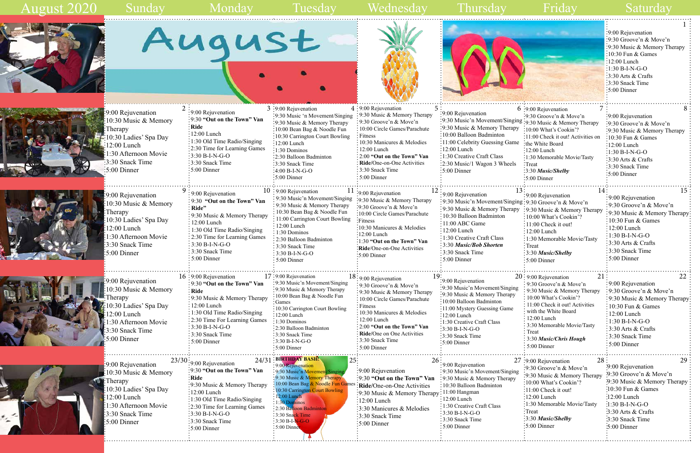## Sunday Monday Tuesday Wednesday Thursday Friday Saturday













:<br>1:30 Afternoon Movie 3:30 Snack Time 5:00 Dinner

| August |  |  |
|--------|--|--|
|        |  |  |

9:30 Music & Memory Therapy 10:00 Bean Bag & Noodle Fun Games 10:30 Carrington Court Bowling 12:00 Lunch  $\frac{1}{2}$  1:30 Dominos : 2:30 Balloon Badminton : 3:30 Snack Time 3:30 B-I-N-G-O 5:00 Dinner

Therapy

|                                                                                                                                                                       |                                                                                                                                                                                                                                                                                                          |                                                                                                                                                                                                                                                                                                                      |                                                                                                                                                                                                                                                                                                               |                                                                                                                                                                                                                                                                                                           |                                                                                                                                                                                                                                                                                                               | .5:00 Dinner                                                                                                                                                                                                                                                |
|-----------------------------------------------------------------------------------------------------------------------------------------------------------------------|----------------------------------------------------------------------------------------------------------------------------------------------------------------------------------------------------------------------------------------------------------------------------------------------------------|----------------------------------------------------------------------------------------------------------------------------------------------------------------------------------------------------------------------------------------------------------------------------------------------------------------------|---------------------------------------------------------------------------------------------------------------------------------------------------------------------------------------------------------------------------------------------------------------------------------------------------------------|-----------------------------------------------------------------------------------------------------------------------------------------------------------------------------------------------------------------------------------------------------------------------------------------------------------|---------------------------------------------------------------------------------------------------------------------------------------------------------------------------------------------------------------------------------------------------------------------------------------------------------------|-------------------------------------------------------------------------------------------------------------------------------------------------------------------------------------------------------------------------------------------------------------|
| 9:00 Rejuvenation<br>10:30 Music & Memory<br>Therapy<br>10:30 Ladies' Spa Day<br>$12:00$ Lunch<br>1:30 Afternoon Movie<br>3:30 Snack Time<br>$\frac{1}{2}$ :00 Dinner | $\frac{1}{2}9:00$ Rejuvenation<br>$\frac{1}{2}$ 9:30 "Out on the Town" Van<br>: Ride<br>$\frac{1}{2}12:00$ Lunch<br>:1:30 Old Time Radio/Singing<br>:2:30 Time for Learning Games<br>$3:30 B-I-N-G-O$<br>:3:30 Snack Time<br>$:5:00$ Dinner                                                              | $3:9:00$ Rejuvenation<br>:9:30 Music 'n Movement/Singing<br>:9:30 Music & Memory Therapy<br>:10:00 Bean Bag & Noodle Fun<br>:10:30 Carrington Court Bowling<br>$\frac{1}{2}12:00$ Lunch<br>:1:30 Dominos<br>:2:30 Balloon Badminton<br>:3:30 Snack Time<br>$-4:00 B-I-N-G-O$<br>$:5:00$ Dinner                       | 4:9:00 Rejuvenation<br>5:<br>: 9:30 Music & Memory Therapy<br>:9:30 Groove'n & Move'n<br>: 10:00 Circle Games/Parachute<br>$:$ Fitness<br>: 10:30 Manicures & Melodies<br>: 12:00 Lunch<br>: 2:00 "Out on the Town" Van<br><b>Ride/One-on-One Activities</b><br>: 3:30 Snack Time<br>$\div$ 5:00 Dinner       | :9:00 Rejuvenation<br>:9:30 Music'n Movement/Singing :9:30 Music & Memory Therapy<br>:9:30 Music & Memory Therapy<br>:10:00 Balloon Badminton<br>:11:00 Celebrity Guessing Game<br>$:12:00$ Lunch<br>$\frac{1}{2}$ 1:30 Creative Craft Class<br>:2:30 Music/1 Wagon 3 Wheels<br>$\frac{1}{2}$ 5:00 Dinner | $6:9:00$ Rejuvenation<br>:9:30 Groove'n & Move'n<br>:10:00 What's Cookin'?<br>:11:00 Check it out! Activities on<br>the White Board<br>$:12:00$ Lunch<br>:1:30 Memorable Movie/Tasty<br>:Treat<br>$\frac{1}{2}3.30$ Music/Shelby<br>$\cdot$ 5:00 Dinner                                                       | :9:00 Rejuvenation<br>:9:30 Groove'n & Move'n<br>:9:30 Music & Memory Therapy<br>:10:30 Fun & Games<br>:12:00 Lunch<br>$:1:30 B-I-N-G-O$<br>$:3:30$ Arts & Crafts<br>:3:30 Snack Time<br>$\frac{1}{2}$ 5:00 Dinner                                          |
| 9:00 Rejuvenation<br>10:30 Music & Memory<br>Therapy<br>10:30 Ladies' Spa Day<br>12:00 Lunch<br>:30 Afternoon Movie<br>3:30 Snack Time<br>$\frac{1}{2}$ 5:00 Dinner   | $\frac{1}{2}$ 9:00 Rejuvenation<br>$\frac{1}{2}9:30$ "Out on the Town" Van<br>: Ride"<br>: 9:30 Music & Memory Therapy<br>: 12:00 Lunch<br>: 1:30 Old Time Radio/Singing<br>: 2:30 Time for Learning Games<br>$\frac{1}{2}$ 3:30 B-I-N-G-O<br>$\frac{1}{2}$ 3:30 Snack Time<br>$\frac{1}{2}$ 5:00 Dinner | $10:9:00$ Rejuvenation<br>9:30 Music'n Movement/Singing<br>9:30 Music & Memory Therapy<br>10:30 Bean Bag & Noodle Fun<br>11:00 Carrington Court Bowling<br>$12:00$ Lunch<br>$: 1:30$ Dominos<br>2:30 Balloon Badminton<br>$\frac{1}{2}$ 3:30 Snack Time<br>$\frac{1}{2}$ 3:30 B-I-N-G-O<br>$\frac{1}{2}$ 5:00 Dinner | :9:00 Rejuvenation<br>:9:30 Music & Memory Therapy<br>:9:30 Groove'n & Move'n<br>:10:00 Circle Games/Parachute<br>:Fitness<br>:10:30 Manicures & Melodies<br>$\frac{1}{2}12:00$ Lunch<br>:1:30 "Out on the Town" Van<br>:Ride/One-on-One Activities<br>$:5:00$ Dinner                                         | 13 <sup>3</sup><br>: 9:00 Rejuvenation<br>:9:30 Music'n Movement/Singing:9:30 Groove'n & Move'n<br>: 9:30 Music & Memory Therapy<br>: 10:30 Balloon Badminton<br>: 11:00 ABC Game<br>$:12:00$ Lunch<br>: 1:30 Creative Craft Class<br>:3:30 Music/Bob Shorten<br>:3:30 Snack Time<br>: 5:00 Dinner        | 14.<br>:9:00 Rejuvenation<br>:9:30 Music & Memory Therapy<br>: 10:00 What's Cookin'?<br>: 11:00 Check it out!<br>$: 12:00$ Lunch<br>:1:30 Memorable Movie/Tasty<br>$:$ Treat<br>$\frac{1}{2}3.30$ Music/Shelby<br>$:5:00$ Dinner                                                                              | 15<br>:9:00 Rejuvenation<br>:9:30 Groove'n & Move'n<br>:9:30 Music & Memory Therapy<br>: $10:30$ Fun & Games<br>$\frac{1}{2}12:00$ Lunch<br>$\frac{1}{2}1:30 B-I-N-G-O$<br>$\frac{1}{2}3.30$ Arts & Crafts<br>:3:30 Snack Time<br>$\frac{1}{2}$ 5:00 Dinner |
| :9:00 Rejuvenation<br>10:30 Music & Memory<br>":Therapy<br>10:30 Ladies' Spa Day<br>2:00 Lunch<br>1:30 Afternoon Movie<br>3:30 Snack Time<br>5:00 Dinner              | $16:9:00$ Rejuvenation<br>:9:30 "Out on the Town" Van<br>: Ride<br>: 9:30 Music & Memory Therapy<br>$:12:00$ Lunch<br>: 1:30 Old Time Radio/Singing<br>: 2:30 Time For Learning Games<br>$: 3:30 B-I-N-G-O$<br>: 3:30 Snack Time<br>$: 5:00$ Dinner                                                      | $17:9:00$ Rejuvenation<br>:9:30 Music'n Movement/Singing<br>:9:30 Music & Memory Therapy<br>:10:00 Bean Bag & Noodle Fun<br>Games<br>:10:30 Carrington Court Bowling<br>$\div 12:00$ Lunch<br>$: 1:30$ Dominos<br>:2:30 Balloon Badminton<br>:3:30 Snack Time<br>$:3:30 B-I-N-G-O$<br>$5:00$ Dinner                  | $18:9:00$ Rejuvenation<br>:9:30 Groove'n & Move'n<br>: 9:30 Music & Memory Therapy<br>$\frac{1}{2}$ 10:00 Circle Games/Parachute<br>: Fitness<br>10:30 Manicures & Melodies<br>: 12:00 Lunch<br>$\frac{1}{2}$ 2:00 "Out on the Town" Van<br>Ride/One on One Activities<br>:3:30 Snack Time<br>$: 5:00$ Dinner | :9:00 Rejuvenation<br>:9:30 Music'n Movement/Singing<br>:9:30 Music & Memory Therapy<br>:10:00 Balloon Badminton<br>:11:00 Mystery Guessing Game<br>$:12:00$ Lunch<br>:1:30 Creative Craft Class<br>$:3:30 B-I-N-G-O$<br>:3:30 Snack Time<br>$\frac{1}{2}$ :00 Dinner                                     | 21:<br>20: 9:00 Rejuvenation<br>$\frac{1}{2}$ 9:30 Groove'n & Move'n<br>$\frac{1}{2}$ 9:30 Music & Memory Therapy<br>10:00 What's Cookin'?<br>11:00 Check it out! Activities<br>with the White Board<br>$: 12:00$ Lunch<br>: 3:30 Memorable Movie/Tasty<br>Treat<br>: 3:30 Music/Chris Hough<br>$5:00$ Dinner | 22<br>:9:00 Rejuvenation<br>$\frac{1}{2}$ 9:30 Groove'n & Move'n<br>:9:30 Music & Memory Therapy<br>$\frac{1}{2}10:30$ Fun & Games<br>$: 12:00$ Lunch<br>$:1:30 B-I-N-G-O$<br>$3:30$ Arts & Crafts<br>:3:30 Snack Time<br>$:5:00$ Dinner                    |
| :9:00 Rejuvenation<br>10:30 Music & Memory                                                                                                                            | 24/31<br>$23/30$ : 9:00 Rejuvenation<br>:9:30 "Out on the Town" Van                                                                                                                                                                                                                                      | <b>: BIRTHDAY BASH!</b><br>25:<br>9:00 Rejuvenation<br>:9:30 Music'n Movement/Singing                                                                                                                                                                                                                                | -9:00 Rejuvenation                                                                                                                                                                                                                                                                                            | 9:00 Rejuvenation<br>: 9:30 Music'n Movement/Singing                                                                                                                                                                                                                                                      | 28<br>$27:9:00$ Rejuvenation<br>:9:30 Groove'n & Move'n<br>$\frac{1}{2}$ . 30 Music & Memory Therany 9:30 Groove'n & Move'n                                                                                                                                                                                   | 29<br>9:00 Rejuvenation                                                                                                                                                                                                                                     |

10:30 Ladies' Spa Day



12:00 Lunch

|                                                                                                                                                                                                                                                                            |                                                                                                                                                                                                                                                                              |                                                                                                    | :9:00 Rejuvenation<br>:9:30 Groove'n $& \text{Move'}n$<br>:9:30 Music & Memory Therapy<br>:10:30 Fun $&$ Games<br>$\frac{12:00}{2}$ Lunch<br>$:1:30 B-I-N-G-O$<br>3:30 Arts & Crafts<br>:3:30 Snack Time<br>:5:00 Dinner        |
|----------------------------------------------------------------------------------------------------------------------------------------------------------------------------------------------------------------------------------------------------------------------------|------------------------------------------------------------------------------------------------------------------------------------------------------------------------------------------------------------------------------------------------------------------------------|----------------------------------------------------------------------------------------------------|---------------------------------------------------------------------------------------------------------------------------------------------------------------------------------------------------------------------------------|
| :9:00 Rejuvenation<br>:9:30 Music & Memory Therapy<br>:10:00 Balloon Badminton<br>:11:00 Celebrity Guessing Game<br>$:12:00$ Lunch<br>$\frac{1}{2}$ 1:30 Creative Craft Class<br>:2:30 Music/1 Wagon 3 Wheels<br>$\frac{1}{2}$ :00 Dinner                                  | $6:9:00$ Rejuvenation<br>$\frac{1}{2}9:30$ Groove'n & Move'n<br>:9:30 Music'n Movement/Singing :9:30 Music & Memory Therapy<br>:10:00 What's Cookin'?<br>the White Board<br>$:12:00$ Lunch<br>:Treat<br>:3:30 Music/Shelby<br>$\cdot$ 5:00 Dinner                            | 7<br>:11:00 Check it out! Activities on<br>:1:30 Memorable Movie/Tasty                             | 8<br>:9:00 Rejuvenation<br>:9:30 Groove'n & Move'n<br>:9:30 Music & Memory Therapy<br>$:10:30$ Fun & Games<br>:12:00 Lunch<br>$:1:30 B-I-N-G-O$<br>$:3:30$ Arts & Crafts<br>$:3:30$ Snack Time<br>$:5:00$ Dinner                |
| 9:00 Rejuvenation<br>10:30 Balloon Badminton<br>11:00 ABC Game<br>$12:00$ Lunch<br>1:30 Creative Craft Class<br>3:30 Music/Bob Shorten<br>3:30 Snack Time<br>$:5:00$ Dinner                                                                                                | 13<br>9:00 Rejuvenation<br>9:30 Music'n Movement/Singing: 9:30 Groove'n & Move'n<br>: 9:30 Music & Memory Therapy : 9:30 Music & Memory Therapy<br>10:00 What's Cookin'?<br>11:00 Check it out!<br>: 12:00 Lunch<br>: Treat<br>$\frac{1}{2}3:30$ Music/Shelby<br>5:00 Dinner | 14:<br>: 1:30 Memorable Movie/Tasty                                                                | 15<br>:9:00 Rejuvenation<br>:9:30 Groove'n & Move'n<br>9:30 Music & Memory Therapy:<br>10:30 Fun & Games<br>12:00 Lunch<br>$1:30 B-I-N-G-O$<br>3:30 Arts & Crafts<br>3:30 Snack Time<br>5:00 Dinner                             |
| :9:00 Rejuvenation<br>:9:30 Music'n Movement/Singing<br>:9:30 Music & Memory Therapy<br>:10:00 Balloon Badminton<br>:11:00 Mystery Guessing Game<br>$\div 12:00$ Lunch<br>:1:30 Creative Craft Class<br>$:3:30 B-I-N-G-O$<br>:3:30 Snack Time<br>$\frac{1}{2}$ 5:00 Dinner | $20:9:00$ Rejuvenation<br>9:30 Groove'n & Move'n<br>10:00 What's Cookin'?<br>with the White Board<br>12:00 Lunch<br>Treat<br>3:30 Music/Chris Hough<br>5:00 Dinner                                                                                                           | 21:<br>9:30 Music & Memory Therapy<br>11:00 Check it out! Activities<br>3:30 Memorable Movie/Tasty | 22<br>: 9:00 Rejuvenation<br>$\frac{1}{2}$ 9:30 Groove'n & Move'n<br>$\frac{1}{2}9:30$ Music & Memory Therapy:<br>10:30 Fun & Games<br>12:00 Lunch<br>$:1:30 B-I-N-G-O$<br>3:30 Arts & Crafts<br>3:30 Snack Time<br>5:00 Dinner |
| : 9:00 Rejuvenation<br>: 9:30 Music'n Movement/Singing<br>: 9:30 Music & Memory Therapy<br>: 10:30 Balloon Badminton<br>$\div 11:00$ Hangman<br>: 12:00 Lunch<br>: 1:30 Creative Craft Class<br>$\frac{1}{2}$ 3:30 B-I-N-G-O<br>:3:30 Snack Time<br>: 5:00 Dinner          | 27 :9:00 Rejuvenation<br>$\frac{1}{2}9:30$ Groove'n & Move'n<br>10:00 What's Cookin'?<br>11:00 Check it out!<br>12:00 Lunch<br>:Treat<br>:3:30 Music/Shelby<br>$:5:00$ Dinner                                                                                                | 28 <sub>3</sub><br>$\frac{1}{2}9:30$ Music & Memory Therapy<br>:1:30 Memorable Movie/Tasty         | .<br>29<br>.9:00 Rejuvenation<br>.9:30 Groove'n & Move'n<br>.9:30 Music & Memory Therapy<br>:10:30 Fun & Games<br>:12:00 Lunch<br>$:1:30 B-I-N-G-O$<br>3:30 Arts & Crafts<br>3:30 Snack Time<br>5:00 Dinner                     |

9:30 **"Out on the Town" Van Ride**  9:30 Music & Memory Therapy 12:00 Lunch 1:30 Old Time Radio/Singing 2:30 Time for Learning Games 3:30 B-I-N-G-O 3:30 Snack Time 5:00 Dinner

### August 2020

9:30 **"Out on the Town" Van Ride/**One-on-One Activities

12:00 Lunch

3:30 Manicures & Melodies

3:30 Snack Time 5:00 Dinner

9:30 Music & Memory Therapy 11:00 Hangman